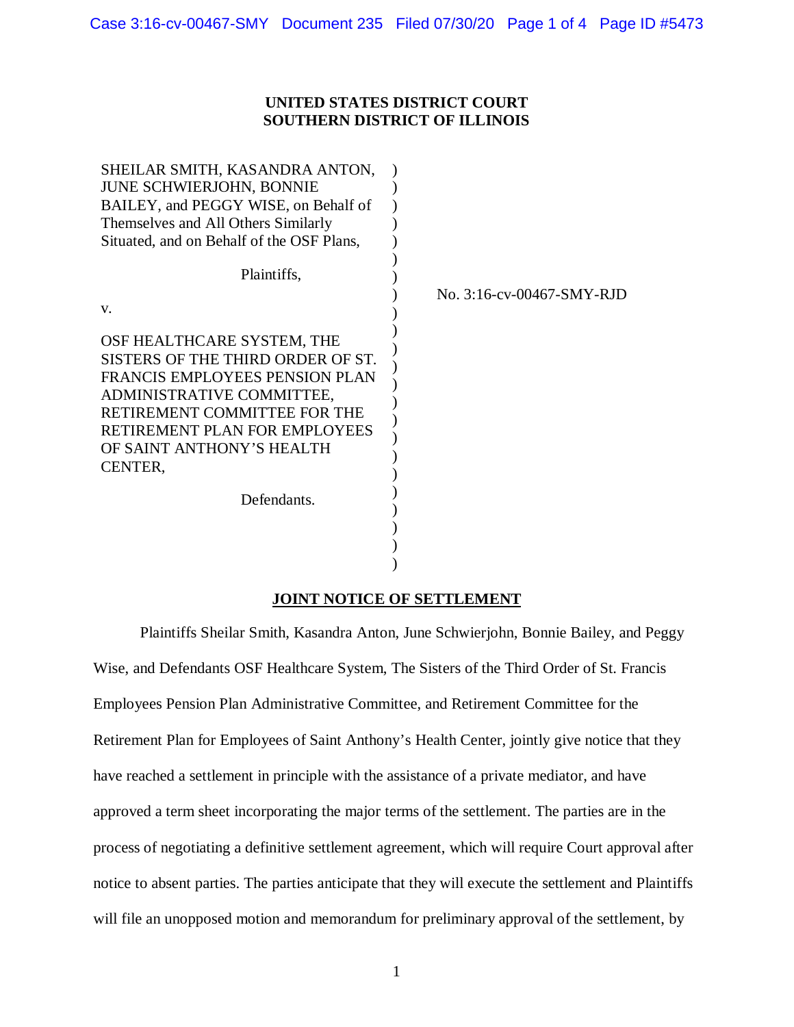### **UNITED STATES DISTRICT COURT SOUTHERN DISTRICT OF ILLINOIS**

| SHEILAR SMITH, KASANDRA ANTON,                                                                                                                                                                                                          |                           |
|-----------------------------------------------------------------------------------------------------------------------------------------------------------------------------------------------------------------------------------------|---------------------------|
| <b>JUNE SCHWIERJOHN, BONNIE</b>                                                                                                                                                                                                         |                           |
| BAILEY, and PEGGY WISE, on Behalf of                                                                                                                                                                                                    |                           |
| Themselves and All Others Similarly                                                                                                                                                                                                     |                           |
| Situated, and on Behalf of the OSF Plans,                                                                                                                                                                                               |                           |
|                                                                                                                                                                                                                                         |                           |
| Plaintiffs,                                                                                                                                                                                                                             |                           |
|                                                                                                                                                                                                                                         | No. 3:16-cv-00467-SMY-RJD |
| V.                                                                                                                                                                                                                                      |                           |
| OSF HEALTHCARE SYSTEM, THE<br>SISTERS OF THE THIRD ORDER OF ST.<br>FRANCIS EMPLOYEES PENSION PLAN<br>ADMINISTRATIVE COMMITTEE,<br>RETIREMENT COMMITTEE FOR THE<br>RETIREMENT PLAN FOR EMPLOYEES<br>OF SAINT ANTHONY'S HEALTH<br>CENTER, |                           |
| Defendants.                                                                                                                                                                                                                             |                           |
|                                                                                                                                                                                                                                         |                           |
|                                                                                                                                                                                                                                         |                           |
|                                                                                                                                                                                                                                         |                           |

### **JOINT NOTICE OF SETTLEMENT**

Plaintiffs Sheilar Smith, Kasandra Anton, June Schwierjohn, Bonnie Bailey, and Peggy Wise, and Defendants OSF Healthcare System, The Sisters of the Third Order of St. Francis Employees Pension Plan Administrative Committee, and Retirement Committee for the Retirement Plan for Employees of Saint Anthony's Health Center, jointly give notice that they have reached a settlement in principle with the assistance of a private mediator, and have approved a term sheet incorporating the major terms of the settlement. The parties are in the process of negotiating a definitive settlement agreement, which will require Court approval after notice to absent parties. The parties anticipate that they will execute the settlement and Plaintiffs will file an unopposed motion and memorandum for preliminary approval of the settlement, by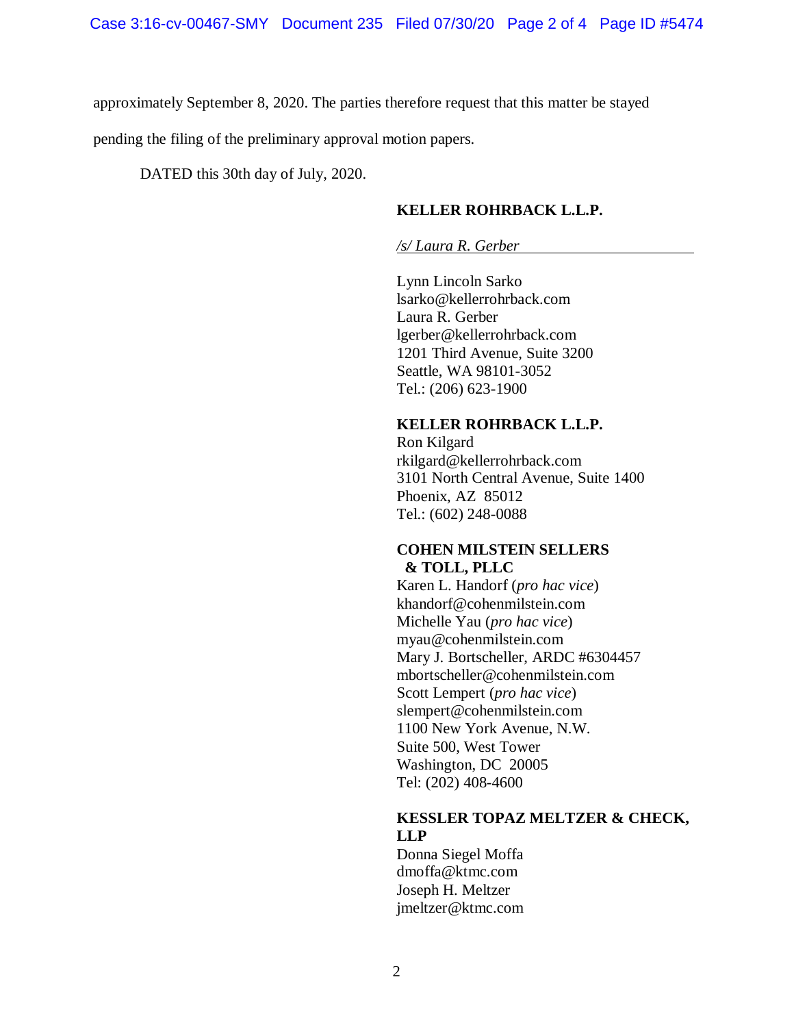approximately September 8, 2020. The parties therefore request that this matter be stayed

pending the filing of the preliminary approval motion papers.

DATED this 30th day of July, 2020.

#### **KELLER ROHRBACK L.L.P.**

#### */s/ Laura R. Gerber*

Lynn Lincoln Sarko lsarko@kellerrohrback.com Laura R. Gerber lgerber@kellerrohrback.com 1201 Third Avenue, Suite 3200 Seattle, WA 98101-3052 Tel.: (206) 623-1900

#### **KELLER ROHRBACK L.L.P.**

Ron Kilgard rkilgard@kellerrohrback.com 3101 North Central Avenue, Suite 1400 Phoenix, AZ 85012 Tel.: (602) 248-0088

#### **COHEN MILSTEIN SELLERS & TOLL, PLLC**

Karen L. Handorf (*pro hac vice*) khandorf@cohenmilstein.com Michelle Yau (*pro hac vice*) myau@cohenmilstein.com Mary J. Bortscheller, ARDC #6304457 mbortscheller@cohenmilstein.com Scott Lempert (*pro hac vice*) slempert@cohenmilstein.com 1100 New York Avenue, N.W. Suite 500, West Tower Washington, DC 20005 Tel: (202) 408-4600

#### **KESSLER TOPAZ MELTZER & CHECK, LLP**

Donna Siegel Moffa dmoffa@ktmc.com Joseph H. Meltzer jmeltzer@ktmc.com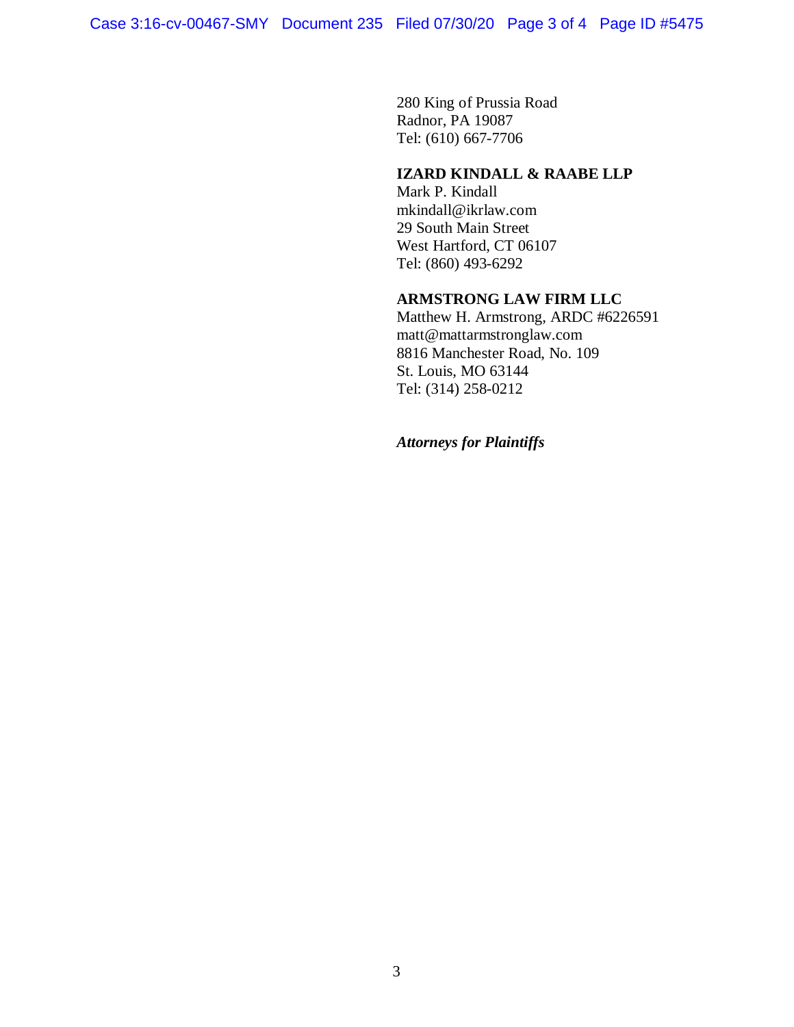280 King of Prussia Road Radnor, PA 19087 Tel: (610) 667-7706

# **IZARD KINDALL & RAABE LLP**

Mark P. Kindall mkindall@ikrlaw.com 29 South Main Street West Hartford, CT 06107 Tel: (860) 493-6292

## **ARMSTRONG LAW FIRM LLC**

Matthew H. Armstrong, ARDC #6226591 matt@mattarmstronglaw.com 8816 Manchester Road, No. 109 St. Louis, MO 63144 Tel: (314) 258-0212

*Attorneys for Plaintiffs*